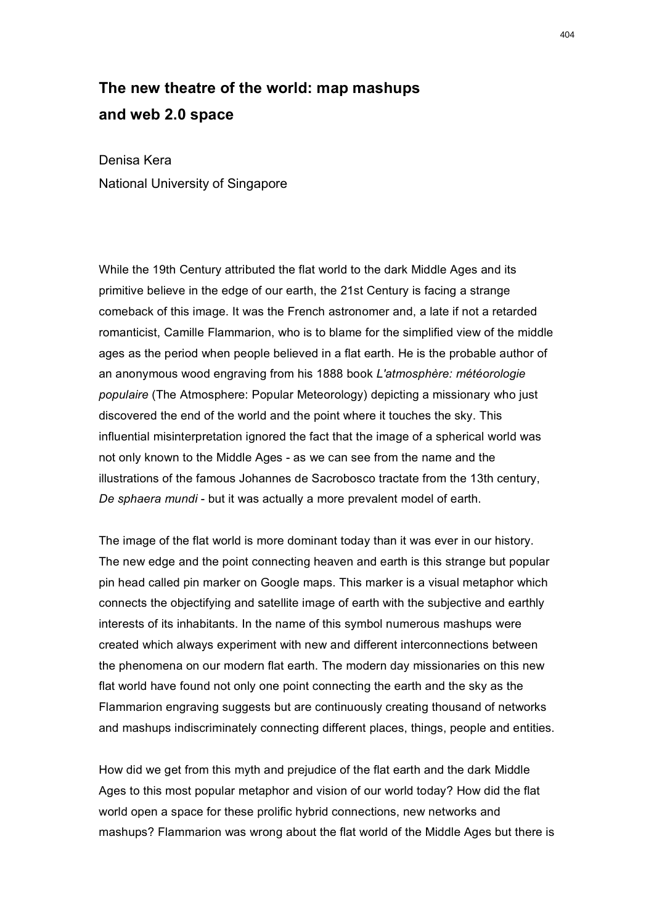## **The new theatre of the world: map mashups and web 2.0 space**

Denisa Kera National University of Singapore

While the 19th Century attributed the flat world to the dark Middle Ages and its primitive believe in the edge of our earth, the 21st Century is facing a strange comeback of this image. It was the French astronomer and, a late if not a retarded romanticist, Camille Flammarion, who is to blame for the simplified view of the middle ages as the period when people believed in a flat earth. He is the probable author of an anonymous wood engraving from his 1888 book *L'atmosphère: météorologie populaire* (The Atmosphere: Popular Meteorology) depicting a missionary who just discovered the end of the world and the point where it touches the sky. This influential misinterpretation ignored the fact that the image of a spherical world was not only known to the Middle Ages - as we can see from the name and the illustrations of the famous Johannes de Sacrobosco tractate from the 13th century, *De sphaera mundi* - but it was actually a more prevalent model of earth.

The image of the flat world is more dominant today than it was ever in our history. The new edge and the point connecting heaven and earth is this strange but popular pin head called pin marker on Google maps. This marker is a visual metaphor which connects the objectifying and satellite image of earth with the subjective and earthly interests of its inhabitants. In the name of this symbol numerous mashups were created which always experiment with new and different interconnections between the phenomena on our modern flat earth. The modern day missionaries on this new flat world have found not only one point connecting the earth and the sky as the Flammarion engraving suggests but are continuously creating thousand of networks and mashups indiscriminately connecting different places, things, people and entities.

How did we get from this myth and prejudice of the flat earth and the dark Middle Ages to this most popular metaphor and vision of our world today? How did the flat world open a space for these prolific hybrid connections, new networks and mashups? Flammarion was wrong about the flat world of the Middle Ages but there is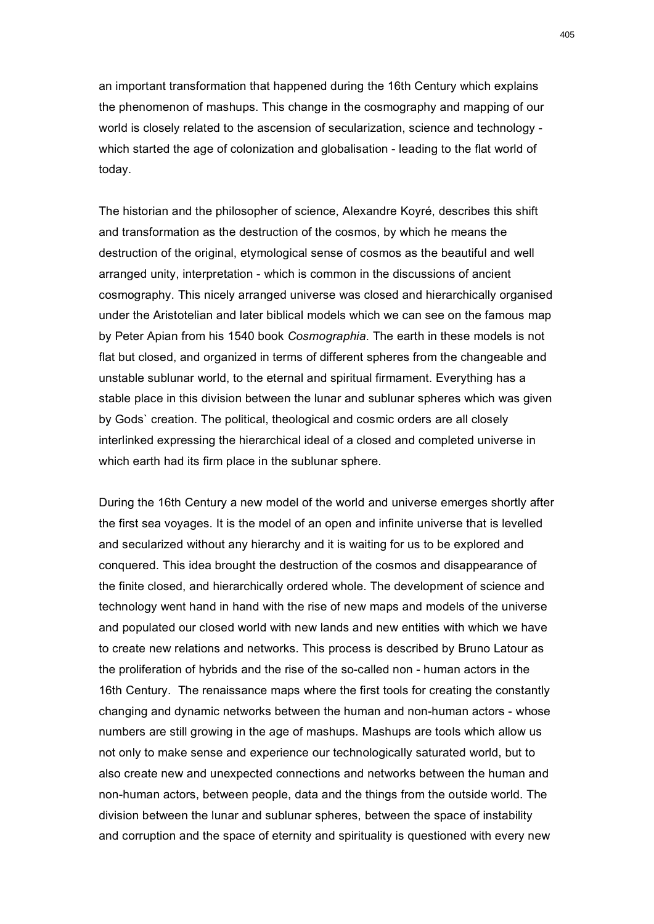an important transformation that happened during the 16th Century which explains the phenomenon of mashups. This change in the cosmography and mapping of our world is closely related to the ascension of secularization, science and technology which started the age of colonization and globalisation - leading to the flat world of today.

The historian and the philosopher of science, Alexandre Koyré, describes this shift and transformation as the destruction of the cosmos, by which he means the destruction of the original, etymological sense of cosmos as the beautiful and well arranged unity, interpretation - which is common in the discussions of ancient cosmography. This nicely arranged universe was closed and hierarchically organised under the Aristotelian and later biblical models which we can see on the famous map by Peter Apian from his 1540 book *Cosmographia.* The earth in these models is not flat but closed, and organized in terms of different spheres from the changeable and unstable sublunar world, to the eternal and spiritual firmament. Everything has a stable place in this division between the lunar and sublunar spheres which was given by Gods` creation. The political, theological and cosmic orders are all closely interlinked expressing the hierarchical ideal of a closed and completed universe in which earth had its firm place in the sublunar sphere.

During the 16th Century a new model of the world and universe emerges shortly after the first sea voyages. It is the model of an open and infinite universe that is levelled and secularized without any hierarchy and it is waiting for us to be explored and conquered. This idea brought the destruction of the cosmos and disappearance of the finite closed, and hierarchically ordered whole. The development of science and technology went hand in hand with the rise of new maps and models of the universe and populated our closed world with new lands and new entities with which we have to create new relations and networks. This process is described by Bruno Latour as the proliferation of hybrids and the rise of the so-called non - human actors in the 16th Century. The renaissance maps where the first tools for creating the constantly changing and dynamic networks between the human and non-human actors - whose numbers are still growing in the age of mashups. Mashups are tools which allow us not only to make sense and experience our technologically saturated world, but to also create new and unexpected connections and networks between the human and non-human actors, between people, data and the things from the outside world. The division between the lunar and sublunar spheres, between the space of instability and corruption and the space of eternity and spirituality is questioned with every new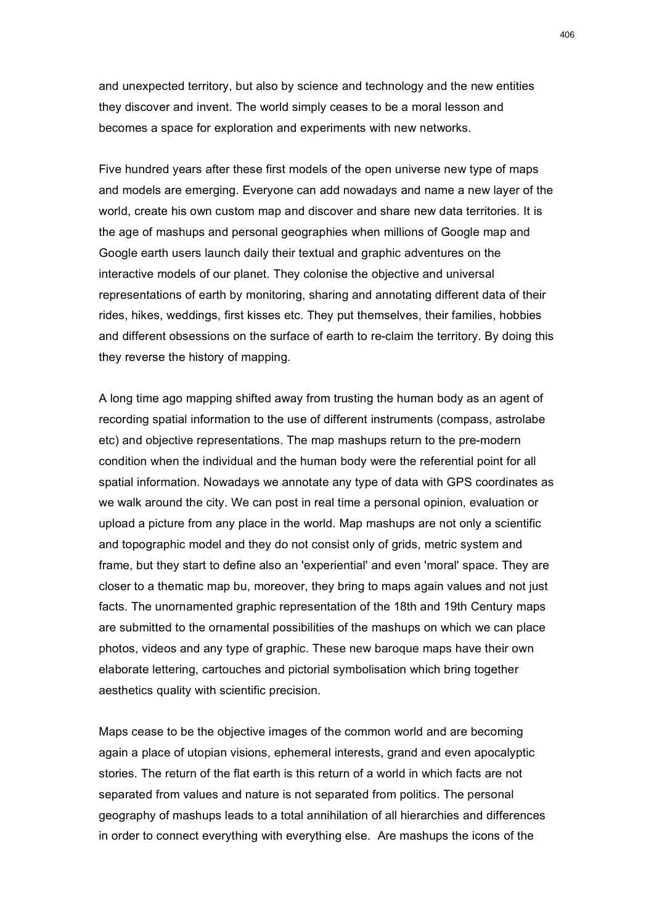and unexpected territory, but also by science and technology and the new entities they discover and invent. The world simply ceases to be a moral lesson and becomes a space for exploration and experiments with new networks.

Five hundred years after these first models of the open universe new type of maps and models are emerging. Everyone can add nowadays and name a new layer of the world, create his own custom map and discover and share new data territories. It is the age of mashups and personal geographies when millions of Google map and Google earth users launch daily their textual and graphic adventures on the interactive models of our planet. They colonise the objective and universal representations of earth by monitoring, sharing and annotating different data of their rides, hikes, weddings, first kisses etc. They put themselves, their families, hobbies and different obsessions on the surface of earth to re-claim the territory. By doing this they reverse the history of mapping.

A long time ago mapping shifted away from trusting the human body as an agent of recording spatial information to the use of different instruments (compass, astrolabe etc) and objective representations. The map mashups return to the pre-modern condition when the individual and the human body were the referential point for all spatial information. Nowadays we annotate any type of data with GPS coordinates as we walk around the city. We can post in real time a personal opinion, evaluation or upload a picture from any place in the world. Map mashups are not only a scientific and topographic model and they do not consist only of grids, metric system and frame, but they start to define also an 'experiential' and even 'moral' space. They are closer to a thematic map bu, moreover, they bring to maps again values and not just facts. The unornamented graphic representation of the 18th and 19th Century maps are submitted to the ornamental possibilities of the mashups on which we can place photos, videos and any type of graphic. These new baroque maps have their own elaborate lettering, cartouches and pictorial symbolisation which bring together aesthetics quality with scientific precision.

Maps cease to be the objective images of the common world and are becoming again a place of utopian visions, ephemeral interests, grand and even apocalyptic stories. The return of the flat earth is this return of a world in which facts are not separated from values and nature is not separated from politics. The personal geography of mashups leads to a total annihilation of all hierarchies and differences in order to connect everything with everything else. Are mashups the icons of the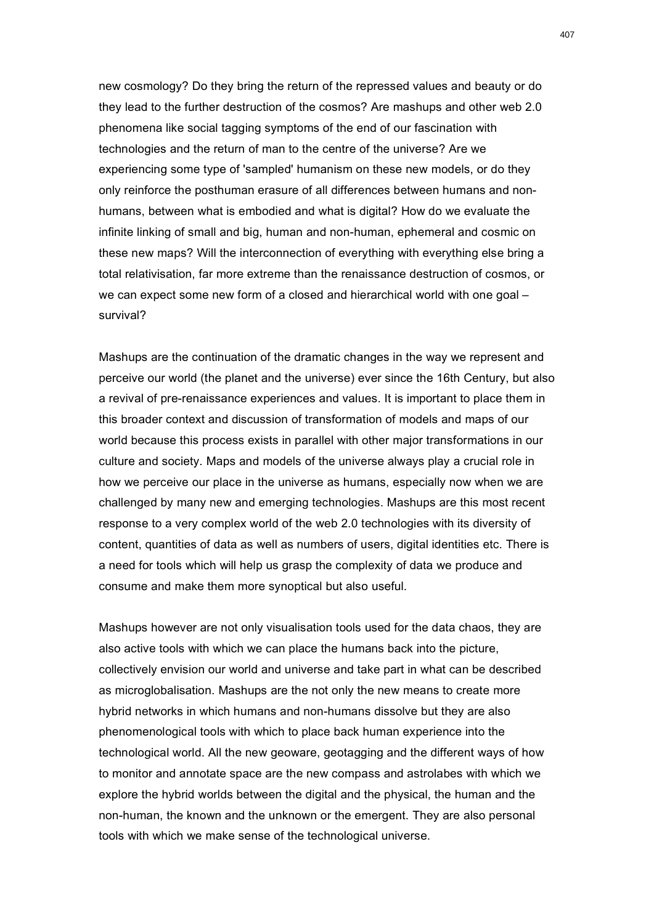new cosmology? Do they bring the return of the repressed values and beauty or do they lead to the further destruction of the cosmos? Are mashups and other web 2.0 phenomena like social tagging symptoms of the end of our fascination with technologies and the return of man to the centre of the universe? Are we experiencing some type of 'sampled' humanism on these new models, or do they only reinforce the posthuman erasure of all differences between humans and nonhumans, between what is embodied and what is digital? How do we evaluate the infinite linking of small and big, human and non-human, ephemeral and cosmic on these new maps? Will the interconnection of everything with everything else bring a total relativisation, far more extreme than the renaissance destruction of cosmos, or we can expect some new form of a closed and hierarchical world with one goal – survival?

Mashups are the continuation of the dramatic changes in the way we represent and perceive our world (the planet and the universe) ever since the 16th Century, but also a revival of pre-renaissance experiences and values. It is important to place them in this broader context and discussion of transformation of models and maps of our world because this process exists in parallel with other major transformations in our culture and society. Maps and models of the universe always play a crucial role in how we perceive our place in the universe as humans, especially now when we are challenged by many new and emerging technologies. Mashups are this most recent response to a very complex world of the web 2.0 technologies with its diversity of content, quantities of data as well as numbers of users, digital identities etc. There is a need for tools which will help us grasp the complexity of data we produce and consume and make them more synoptical but also useful.

Mashups however are not only visualisation tools used for the data chaos, they are also active tools with which we can place the humans back into the picture, collectively envision our world and universe and take part in what can be described as microglobalisation. Mashups are the not only the new means to create more hybrid networks in which humans and non-humans dissolve but they are also phenomenological tools with which to place back human experience into the technological world. All the new geoware, geotagging and the different ways of how to monitor and annotate space are the new compass and astrolabes with which we explore the hybrid worlds between the digital and the physical, the human and the non-human, the known and the unknown or the emergent. They are also personal tools with which we make sense of the technological universe.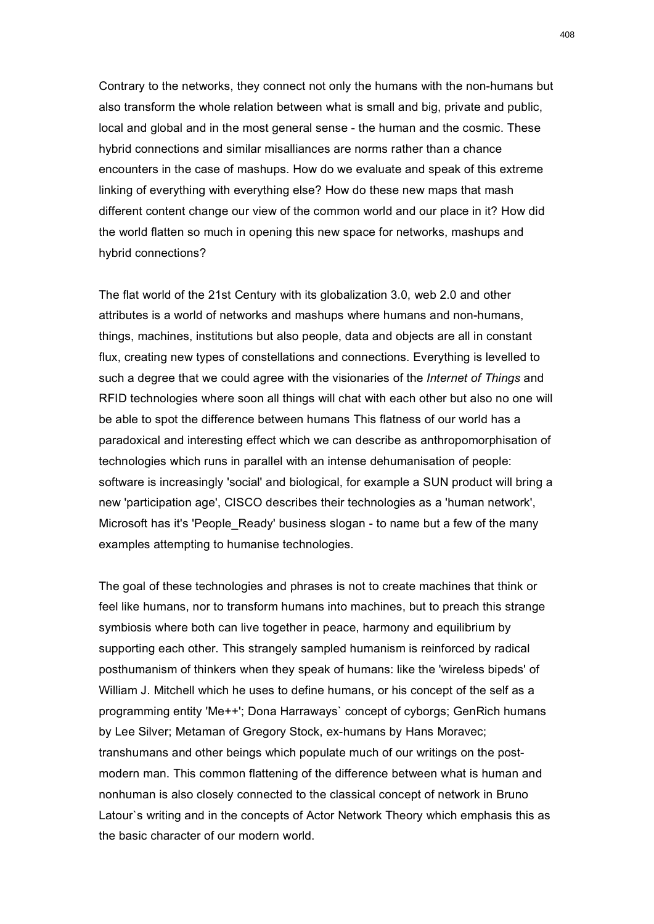Contrary to the networks, they connect not only the humans with the non-humans but also transform the whole relation between what is small and big, private and public, local and global and in the most general sense - the human and the cosmic. These hybrid connections and similar misalliances are norms rather than a chance encounters in the case of mashups. How do we evaluate and speak of this extreme linking of everything with everything else? How do these new maps that mash different content change our view of the common world and our place in it? How did the world flatten so much in opening this new space for networks, mashups and hybrid connections?

The flat world of the 21st Century with its globalization 3.0, web 2.0 and other attributes is a world of networks and mashups where humans and non-humans, things, machines, institutions but also people, data and objects are all in constant flux, creating new types of constellations and connections. Everything is levelled to such a degree that we could agree with the visionaries of the *Internet of Things* and RFID technologies where soon all things will chat with each other but also no one will be able to spot the difference between humans This flatness of our world has a paradoxical and interesting effect which we can describe as anthropomorphisation of technologies which runs in parallel with an intense dehumanisation of people: software is increasingly 'social' and biological, for example a SUN product will bring a new 'participation age', CISCO describes their technologies as a 'human network', Microsoft has it's 'People\_Ready' business slogan - to name but a few of the many examples attempting to humanise technologies.

The goal of these technologies and phrases is not to create machines that think or feel like humans, nor to transform humans into machines, but to preach this strange symbiosis where both can live together in peace, harmony and equilibrium by supporting each other. This strangely sampled humanism is reinforced by radical posthumanism of thinkers when they speak of humans: like the 'wireless bipeds' of William J. Mitchell which he uses to define humans, or his concept of the self as a programming entity 'Me++'; Dona Harraways` concept of cyborgs; GenRich humans by Lee Silver; Metaman of Gregory Stock, ex-humans by Hans Moravec; transhumans and other beings which populate much of our writings on the postmodern man. This common flattening of the difference between what is human and nonhuman is also closely connected to the classical concept of network in Bruno Latour`s writing and in the concepts of Actor Network Theory which emphasis this as the basic character of our modern world.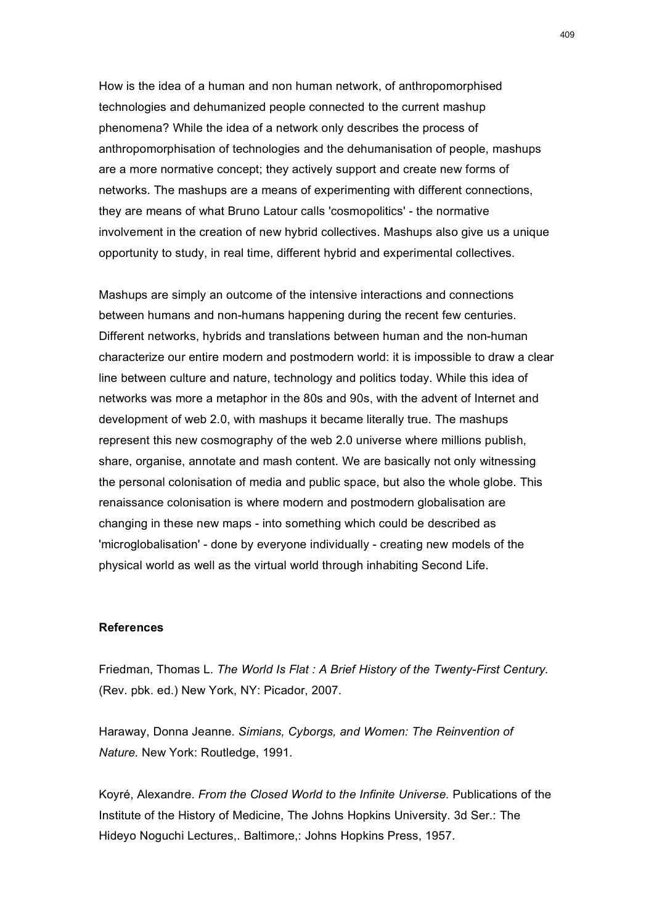How is the idea of a human and non human network, of anthropomorphised technologies and dehumanized people connected to the current mashup phenomena? While the idea of a network only describes the process of anthropomorphisation of technologies and the dehumanisation of people, mashups are a more normative concept; they actively support and create new forms of networks. The mashups are a means of experimenting with different connections, they are means of what Bruno Latour calls 'cosmopolitics' - the normative involvement in the creation of new hybrid collectives. Mashups also give us a unique opportunity to study, in real time, different hybrid and experimental collectives.

Mashups are simply an outcome of the intensive interactions and connections between humans and non-humans happening during the recent few centuries. Different networks, hybrids and translations between human and the non-human characterize our entire modern and postmodern world: it is impossible to draw a clear line between culture and nature, technology and politics today. While this idea of networks was more a metaphor in the 80s and 90s, with the advent of Internet and development of web 2.0, with mashups it became literally true. The mashups represent this new cosmography of the web 2.0 universe where millions publish, share, organise, annotate and mash content. We are basically not only witnessing the personal colonisation of media and public space, but also the whole globe. This renaissance colonisation is where modern and postmodern globalisation are changing in these new maps - into something which could be described as 'microglobalisation' - done by everyone individually - creating new models of the physical world as well as the virtual world through inhabiting Second Life.

## **References**

Friedman, Thomas L. *The World Is Flat : A Brief History of the Twenty-First Century.* (Rev. pbk. ed.) New York, NY: Picador, 2007.

Haraway, Donna Jeanne. *Simians, Cyborgs, and Women: The Reinvention of Nature.* New York: Routledge, 1991.

Koyré, Alexandre. *From the Closed World to the Infinite Universe.* Publications of the Institute of the History of Medicine, The Johns Hopkins University. 3d Ser.: The Hideyo Noguchi Lectures,. Baltimore,: Johns Hopkins Press, 1957.